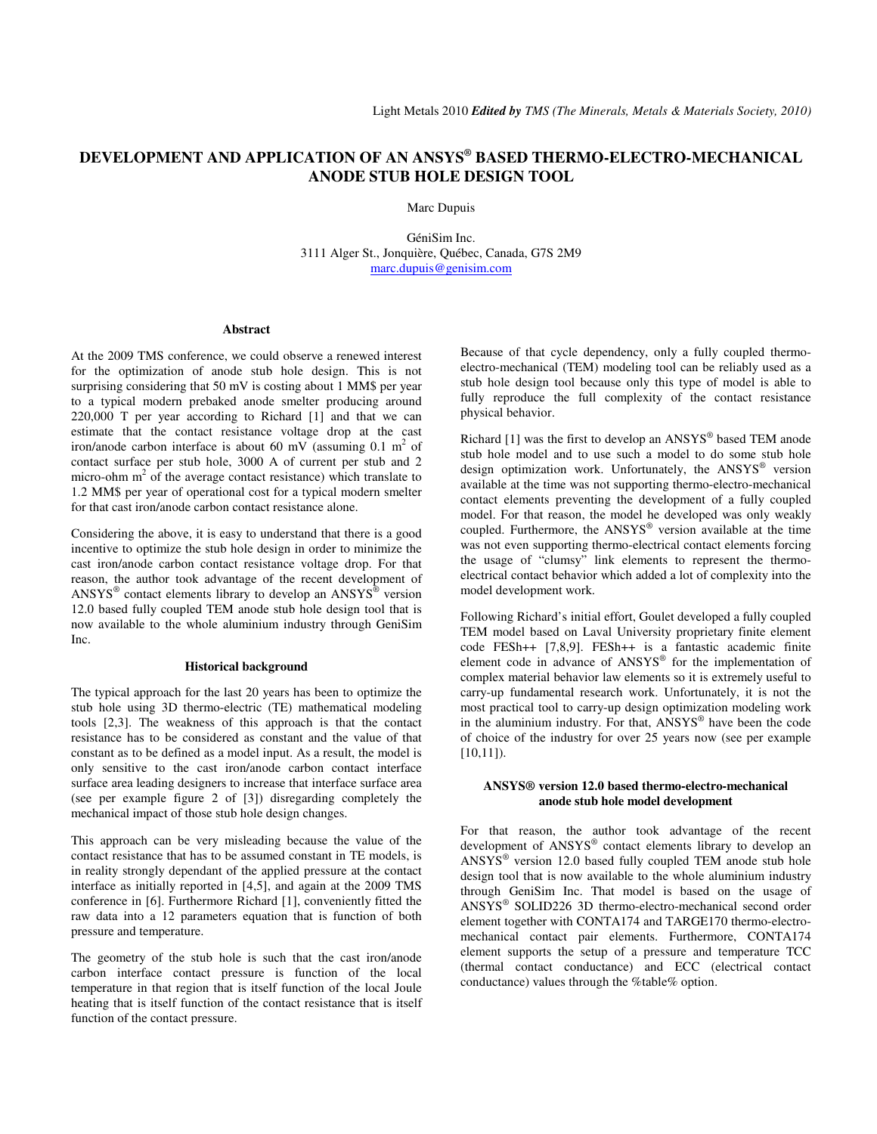# **DEVELOPMENT AND APPLICATION OF AN ANSYS® BASED THERMO-ELECTRO-MECHANICAL ANODE STUB HOLE DESIGN TOOL**

Marc Dupuis

GéniSim Inc. 3111 Alger St., Jonquière, Québec, Canada, G7S 2M9 marc.dupuis@genisim.com

### **Abstract**

At the 2009 TMS conference, we could observe a renewed interest for the optimization of anode stub hole design. This is not surprising considering that 50 mV is costing about 1 MM\$ per year to a typical modern prebaked anode smelter producing around 220,000 T per year according to Richard [1] and that we can estimate that the contact resistance voltage drop at the cast iron/anode carbon interface is about 60 mV (assuming  $0.1 \text{ m}^2$  of contact surface per stub hole, 3000 A of current per stub and 2 micro-ohm  $m<sup>2</sup>$  of the average contact resistance) which translate to 1.2 MM\$ per year of operational cost for a typical modern smelter for that cast iron/anode carbon contact resistance alone.

Considering the above, it is easy to understand that there is a good incentive to optimize the stub hole design in order to minimize the cast iron/anode carbon contact resistance voltage drop. For that reason, the author took advantage of the recent development of  $ANSYS<sup>®</sup>$  contact elements library to develop an  $ANSYS<sup>®</sup>$  version 12.0 based fully coupled TEM anode stub hole design tool that is now available to the whole aluminium industry through GeniSim Inc.

#### **Historical background**

The typical approach for the last 20 years has been to optimize the stub hole using 3D thermo-electric (TE) mathematical modeling tools [2,3]. The weakness of this approach is that the contact resistance has to be considered as constant and the value of that constant as to be defined as a model input. As a result, the model is only sensitive to the cast iron/anode carbon contact interface surface area leading designers to increase that interface surface area (see per example figure 2 of [3]) disregarding completely the mechanical impact of those stub hole design changes.

This approach can be very misleading because the value of the contact resistance that has to be assumed constant in TE models, is in reality strongly dependant of the applied pressure at the contact interface as initially reported in [4,5], and again at the 2009 TMS conference in [6]. Furthermore Richard [1], conveniently fitted the raw data into a 12 parameters equation that is function of both pressure and temperature.

The geometry of the stub hole is such that the cast iron/anode carbon interface contact pressure is function of the local temperature in that region that is itself function of the local Joule heating that is itself function of the contact resistance that is itself function of the contact pressure.

Because of that cycle dependency, only a fully coupled thermoelectro-mechanical (TEM) modeling tool can be reliably used as a stub hole design tool because only this type of model is able to fully reproduce the full complexity of the contact resistance physical behavior.

Richard  $[1]$  was the first to develop an  $ANSYS^{\circledast}$  based TEM anode stub hole model and to use such a model to do some stub hole design optimization work. Unfortunately, the ANSYS® version available at the time was not supporting thermo-electro-mechanical contact elements preventing the development of a fully coupled model. For that reason, the model he developed was only weakly coupled. Furthermore, the ANSYS® version available at the time was not even supporting thermo-electrical contact elements forcing the usage of "clumsy" link elements to represent the thermoelectrical contact behavior which added a lot of complexity into the model development work.

Following Richard's initial effort, Goulet developed a fully coupled TEM model based on Laval University proprietary finite element code FESh++ [7,8,9]. FESh++ is a fantastic academic finite element code in advance of ANSYS® for the implementation of complex material behavior law elements so it is extremely useful to carry-up fundamental research work. Unfortunately, it is not the most practical tool to carry-up design optimization modeling work in the aluminium industry. For that, ANSYS® have been the code of choice of the industry for over 25 years now (see per example  $[10,11]$ ).

#### **ANSYS® version 12.0 based thermo-electro-mechanical anode stub hole model development**

For that reason, the author took advantage of the recent development of ANSYS® contact elements library to develop an  $ANSYS^{\circledast}$  version 12.0 based fully coupled TEM anode stub hole design tool that is now available to the whole aluminium industry through GeniSim Inc. That model is based on the usage of ANSYS® SOLID226 3D thermo-electro-mechanical second order element together with CONTA174 and TARGE170 thermo-electromechanical contact pair elements. Furthermore, CONTA174 element supports the setup of a pressure and temperature TCC (thermal contact conductance) and ECC (electrical contact conductance) values through the %table% option.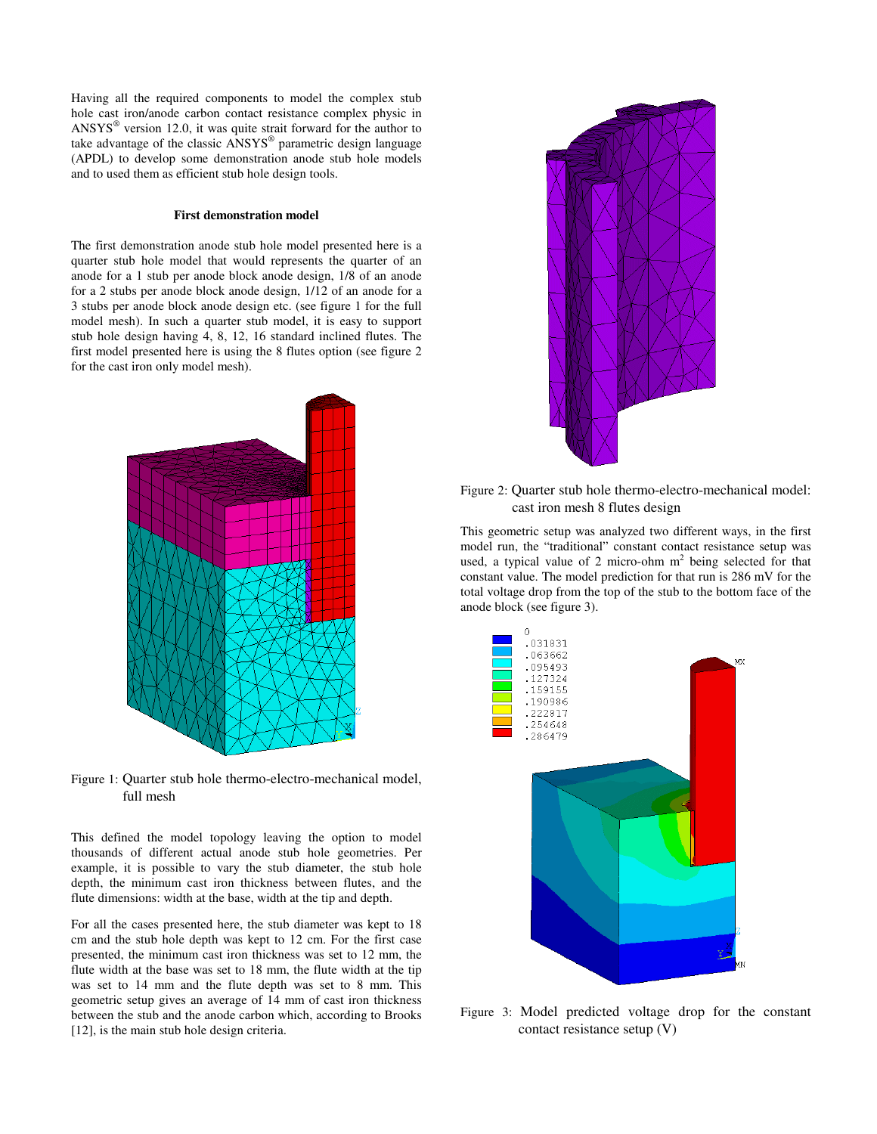Having all the required components to model the complex stub hole cast iron/anode carbon contact resistance complex physic in  $ANSYS<sup>®</sup>$  version 12.0, it was quite strait forward for the author to take advantage of the classic ANSYS® parametric design language (APDL) to develop some demonstration anode stub hole models and to used them as efficient stub hole design tools.

#### **First demonstration model**

The first demonstration anode stub hole model presented here is a quarter stub hole model that would represents the quarter of an anode for a 1 stub per anode block anode design, 1/8 of an anode for a 2 stubs per anode block anode design, 1/12 of an anode for a 3 stubs per anode block anode design etc. (see figure 1 for the full model mesh). In such a quarter stub model, it is easy to support stub hole design having 4, 8, 12, 16 standard inclined flutes. The first model presented here is using the 8 flutes option (see figure 2 for the cast iron only model mesh).



Figure 1: Quarter stub hole thermo-electro-mechanical model, full mesh

This defined the model topology leaving the option to model thousands of different actual anode stub hole geometries. Per example, it is possible to vary the stub diameter, the stub hole depth, the minimum cast iron thickness between flutes, and the flute dimensions: width at the base, width at the tip and depth.

For all the cases presented here, the stub diameter was kept to 18 cm and the stub hole depth was kept to 12 cm. For the first case presented, the minimum cast iron thickness was set to 12 mm, the flute width at the base was set to 18 mm, the flute width at the tip was set to 14 mm and the flute depth was set to 8 mm. This geometric setup gives an average of 14 mm of cast iron thickness between the stub and the anode carbon which, according to Brooks [12], is the main stub hole design criteria.



Figure 2: Quarter stub hole thermo-electro-mechanical model: cast iron mesh 8 flutes design

This geometric setup was analyzed two different ways, in the first model run, the "traditional" constant contact resistance setup was used, a typical value of 2 micro-ohm  $m<sup>2</sup>$  being selected for that constant value. The model prediction for that run is 286 mV for the total voltage drop from the top of the stub to the bottom face of the anode block (see figure 3).



Figure 3: Model predicted voltage drop for the constant contact resistance setup (V)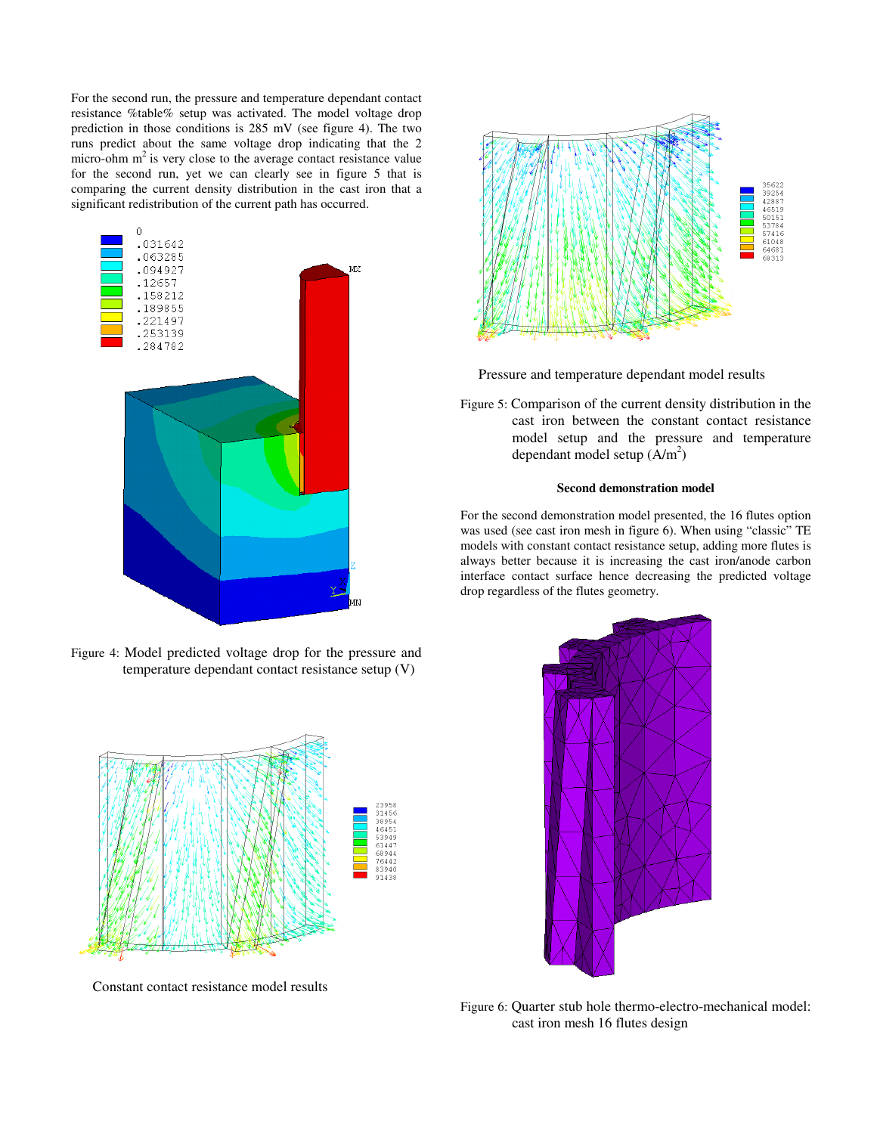For the second run, the pressure and temperature dependant contact resistance %table% setup was activated. The model voltage drop prediction in those conditions is 285 mV (see figure 4). The two runs predict about the same voltage drop indicating that the 2 micro-ohm  $m<sup>2</sup>$  is very close to the average contact resistance value for the second run, yet we can clearly see in figure 5 that is comparing the current density distribution in the cast iron that a significant redistribution of the current path has occurred.



Figure 4: Model predicted voltage drop for the pressure and temperature dependant contact resistance setup (V)



Constant contact resistance model results



Pressure and temperature dependant model results

Figure 5: Comparison of the current density distribution in the cast iron between the constant contact resistance model setup and the pressure and temperature dependant model setup  $(A/m^2)$ 

## **Second demonstration model**

For the second demonstration model presented, the 16 flutes option was used (see cast iron mesh in figure 6). When using "classic" TE models with constant contact resistance setup, adding more flutes is always better because it is increasing the cast iron/anode carbon interface contact surface hence decreasing the predicted voltage drop regardless of the flutes geometry.



Figure 6: Quarter stub hole thermo-electro-mechanical model: cast iron mesh 16 flutes design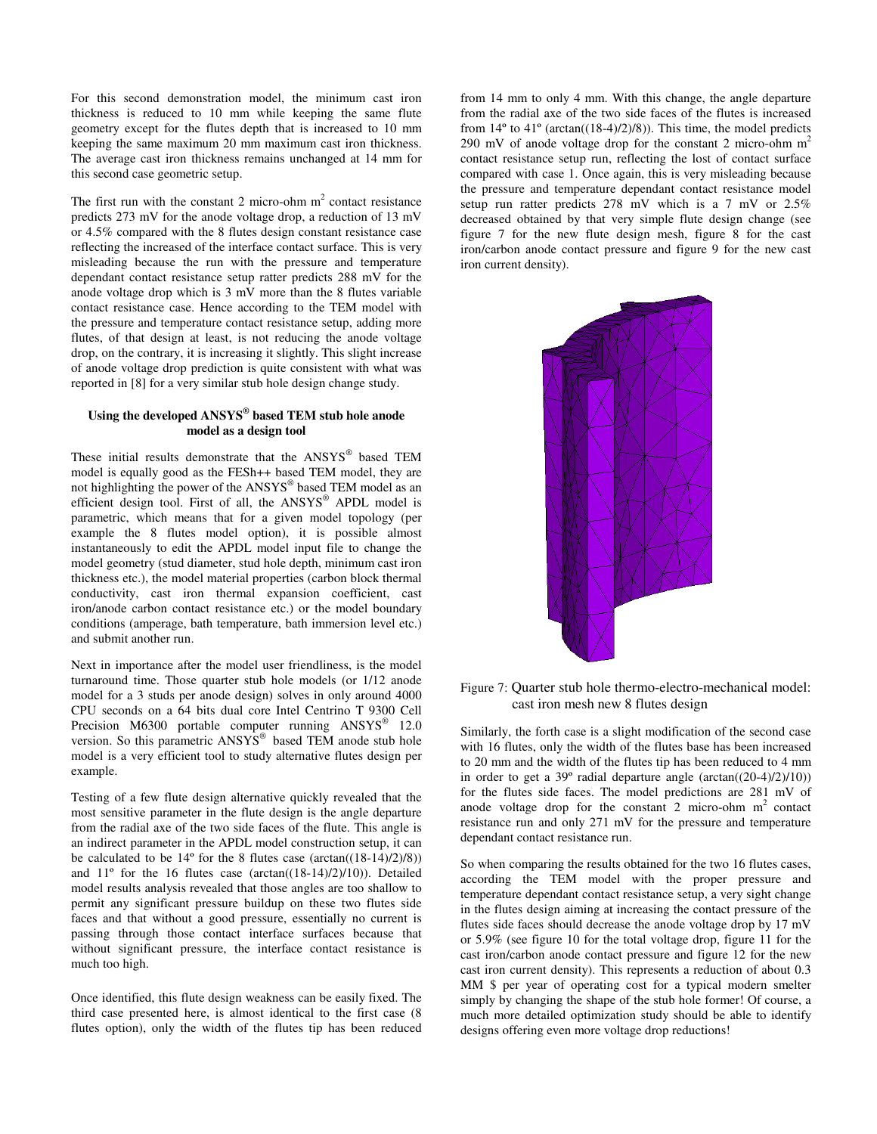For this second demonstration model, the minimum cast iron thickness is reduced to 10 mm while keeping the same flute geometry except for the flutes depth that is increased to 10 mm keeping the same maximum 20 mm maximum cast iron thickness. The average cast iron thickness remains unchanged at 14 mm for this second case geometric setup.

The first run with the constant 2 micro-ohm  $m<sup>2</sup>$  contact resistance predicts 273 mV for the anode voltage drop, a reduction of 13 mV or 4.5% compared with the 8 flutes design constant resistance case reflecting the increased of the interface contact surface. This is very misleading because the run with the pressure and temperature dependant contact resistance setup ratter predicts 288 mV for the anode voltage drop which is 3 mV more than the 8 flutes variable contact resistance case. Hence according to the TEM model with the pressure and temperature contact resistance setup, adding more flutes, of that design at least, is not reducing the anode voltage drop, on the contrary, it is increasing it slightly. This slight increase of anode voltage drop prediction is quite consistent with what was reported in [8] for a very similar stub hole design change study.

## **Using the developed ANSYS® based TEM stub hole anode model as a design tool**

These initial results demonstrate that the ANSYS® based TEM model is equally good as the FESh++ based TEM model, they are not highlighting the power of the ANSYS® based TEM model as an efficient design tool. First of all, the ANSYS® APDL model is parametric, which means that for a given model topology (per example the 8 flutes model option), it is possible almost instantaneously to edit the APDL model input file to change the model geometry (stud diameter, stud hole depth, minimum cast iron thickness etc.), the model material properties (carbon block thermal conductivity, cast iron thermal expansion coefficient, cast iron/anode carbon contact resistance etc.) or the model boundary conditions (amperage, bath temperature, bath immersion level etc.) and submit another run.

Next in importance after the model user friendliness, is the model turnaround time. Those quarter stub hole models (or 1/12 anode model for a 3 studs per anode design) solves in only around 4000 CPU seconds on a 64 bits dual core Intel Centrino T 9300 Cell Precision M6300 portable computer running ANSYS<sup>®</sup> 12.0 version. So this parametric ANSYS<sup>®</sup> based TEM anode stub hole model is a very efficient tool to study alternative flutes design per example.

Testing of a few flute design alternative quickly revealed that the most sensitive parameter in the flute design is the angle departure from the radial axe of the two side faces of the flute. This angle is an indirect parameter in the APDL model construction setup, it can be calculated to be  $14^{\circ}$  for the 8 flutes case (arctan( $(18-14)/2$ )/8)) and 11º for the 16 flutes case (arctan((18-14)/2)/10)). Detailed model results analysis revealed that those angles are too shallow to permit any significant pressure buildup on these two flutes side faces and that without a good pressure, essentially no current is passing through those contact interface surfaces because that without significant pressure, the interface contact resistance is much too high.

Once identified, this flute design weakness can be easily fixed. The third case presented here, is almost identical to the first case (8 flutes option), only the width of the flutes tip has been reduced from 14 mm to only 4 mm. With this change, the angle departure from the radial axe of the two side faces of the flutes is increased from  $14^{\circ}$  to  $41^{\circ}$  (arctan( $(18-4)/2$ )/8)). This time, the model predicts 290 mV of anode voltage drop for the constant 2 micro-ohm  $m<sup>2</sup>$ contact resistance setup run, reflecting the lost of contact surface compared with case 1. Once again, this is very misleading because the pressure and temperature dependant contact resistance model setup run ratter predicts 278 mV which is a 7 mV or 2.5% decreased obtained by that very simple flute design change (see figure 7 for the new flute design mesh, figure 8 for the cast iron/carbon anode contact pressure and figure 9 for the new cast iron current density).



## Figure 7: Quarter stub hole thermo-electro-mechanical model: cast iron mesh new 8 flutes design

Similarly, the forth case is a slight modification of the second case with 16 flutes, only the width of the flutes base has been increased to 20 mm and the width of the flutes tip has been reduced to 4 mm in order to get a  $39^{\circ}$  radial departure angle (arctan( $(20-4)/2$ ) $(10)$ ) for the flutes side faces. The model predictions are 281 mV of anode voltage drop for the constant 2 micro-ohm  $m<sup>2</sup>$  contact resistance run and only 271 mV for the pressure and temperature dependant contact resistance run.

So when comparing the results obtained for the two 16 flutes cases, according the TEM model with the proper pressure and temperature dependant contact resistance setup, a very sight change in the flutes design aiming at increasing the contact pressure of the flutes side faces should decrease the anode voltage drop by 17 mV or 5.9% (see figure 10 for the total voltage drop, figure 11 for the cast iron/carbon anode contact pressure and figure 12 for the new cast iron current density). This represents a reduction of about 0.3 MM \$ per year of operating cost for a typical modern smelter simply by changing the shape of the stub hole former! Of course, a much more detailed optimization study should be able to identify designs offering even more voltage drop reductions!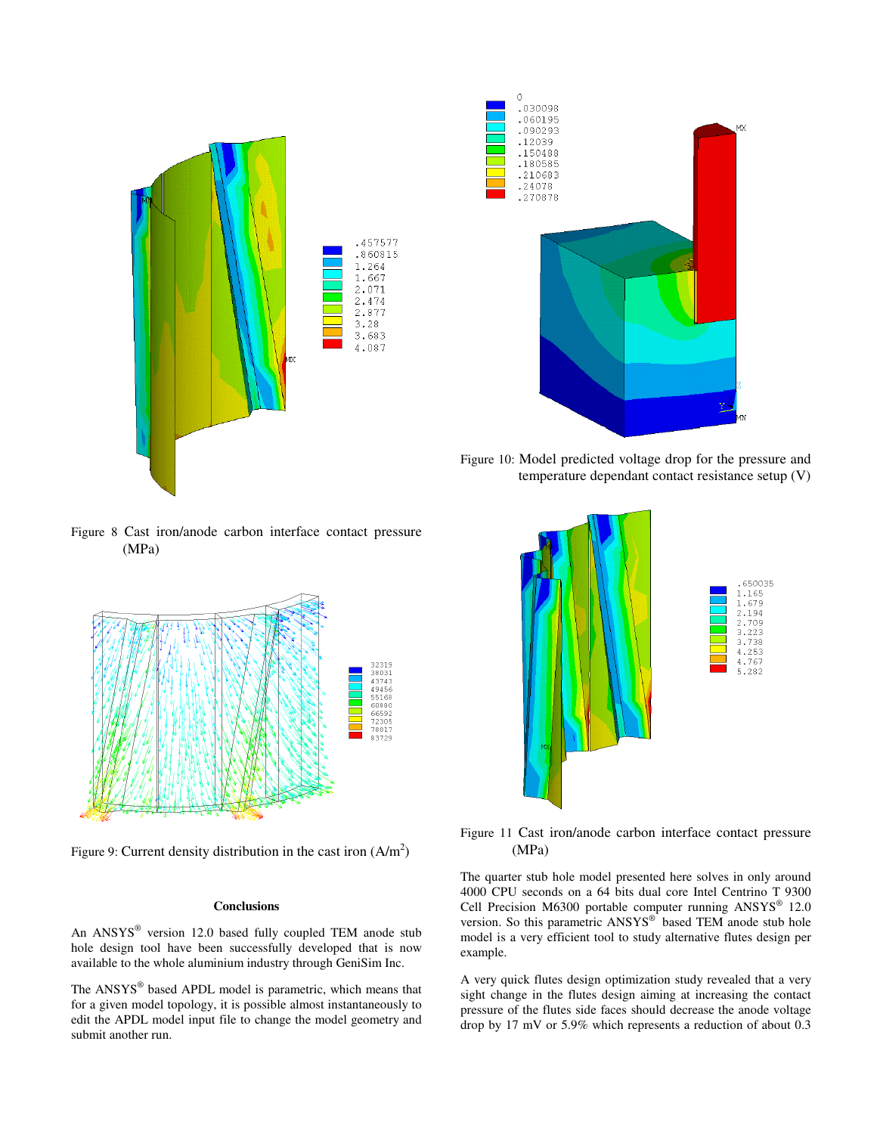



Figure 10: Model predicted voltage drop for the pressure and temperature dependant contact resistance setup (V)

Figure 8 Cast iron/anode carbon interface contact pressure (MPa)



Figure 9: Current density distribution in the cast iron  $(A/m^2)$ 

#### **Conclusions**

An ANSYS® version 12.0 based fully coupled TEM anode stub hole design tool have been successfully developed that is now available to the whole aluminium industry through GeniSim Inc.

The ANSYS® based APDL model is parametric, which means that for a given model topology, it is possible almost instantaneously to edit the APDL model input file to change the model geometry and submit another run.



Figure 11 Cast iron/anode carbon interface contact pressure (MPa)

The quarter stub hole model presented here solves in only around 4000 CPU seconds on a 64 bits dual core Intel Centrino T 9300 Cell Precision M6300 portable computer running ANSYS<sup>®</sup> 12.0 version. So this parametric  $ANSYS^{\circledast}$  based TEM anode stub hole model is a very efficient tool to study alternative flutes design per example.

A very quick flutes design optimization study revealed that a very sight change in the flutes design aiming at increasing the contact pressure of the flutes side faces should decrease the anode voltage drop by 17 mV or 5.9% which represents a reduction of about 0.3